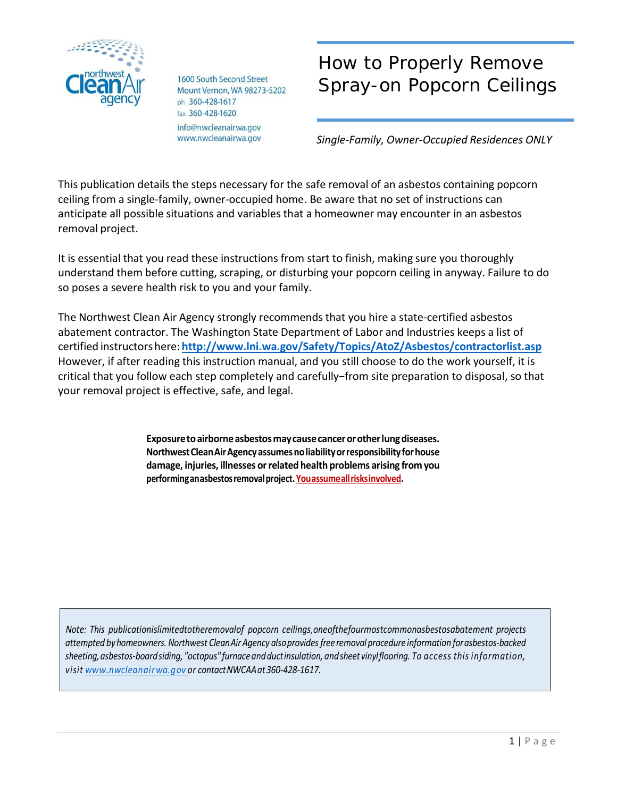

1600 South Second Street Mount Vernon, WA 98273-5202 ph 360-428-1617 fax 360-428-1620 info@nwcleanairwa.gov www.nwcleanairwa.gov

# How to Properly Remove Spray-on Popcorn Ceilings

*Single-Family, Owner-Occupied Residences ONLY*

This publication details the steps necessary for the safe removal of an asbestos containing popcorn ceiling from a single-family, owner-occupied home. Be aware that no set of instructions can anticipate all possible situations and variables that a homeowner may encounter in an asbestos removal project.

It is essential that you read these instructions from start to finish, making sure you thoroughly understand them before cutting, scraping, or disturbing your popcorn ceiling in anyway. Failure to do so poses a severe health risk to you and your family.

The Northwest Clean Air Agency strongly recommendsthat you hire a state-certified asbestos abatement contractor. The Washington State Department of Labor and Industries keeps a list of certified instructorshere:**<http://www.lni.wa.gov/Safety/Topics/AtoZ/Asbestos/contractorlist.asp>** However, if after reading this instruction manual, and you still choose to do the work yourself, it is critical that you follow each step completely and carefully−from site preparation to disposal, so that your removal project is effective, safe, and legal.

> **Exposuretoairborneasbestosmaycausecancerorotherlungdiseases. NorthwestCleanAirAgencyassumesnoliabilityorresponsibilityforhouse damage, injuries, illnesses orrelated health problems arising from you performinganasbestosremovalproject. Youassumeallrisksinvolved.**

*Note: This publicationislimitedtotheremovalof popcorn ceilings,oneofthefourmostcommonasbestosabatement projects attempted byhomeowners. Northwest CleanAirAgency alsoprovidesfree removal procedure information forasbestos-backed sheeting,asbestos-boardsiding, "octopus" furnaceandductinsulation, andsheet vinylflooring. To access this information, visit [www.nwcleanairwa.gov](http://www.nwcleanairwa.gov/) or contactNWCAAat360-428-1617.*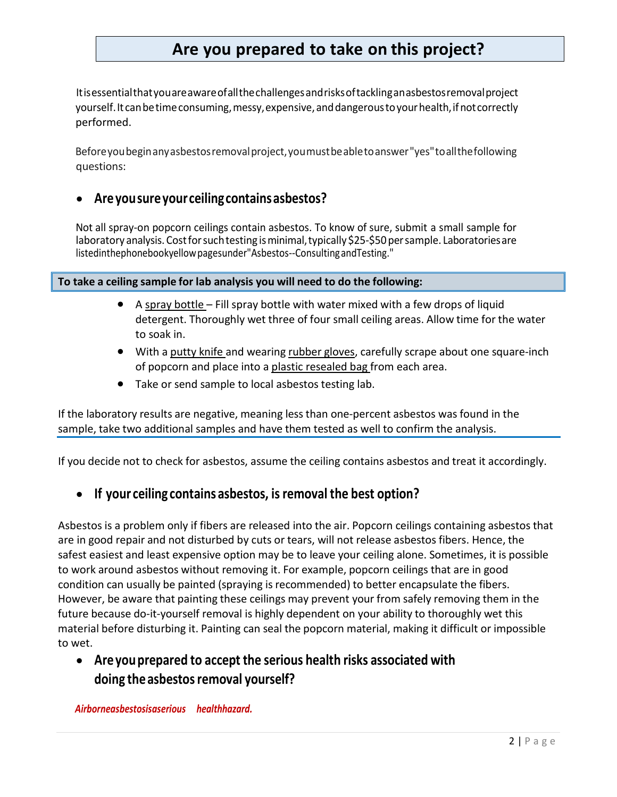# **Are you prepared to take on this project?**

Itisessentialthatyouareawareofallthechallengesandrisksoftacklinganasbestosremovalproject yourself. It can be time consuming, messy, expensive, and dangerous to your health, if not correctly performed.

Beforeyoubeginanyasbestosremovalproject,youmustbeabletoanswer"yes"toallthefollowing questions:

#### • **Areyousureyourceilingcontainsasbestos?**

Not all spray-on popcorn ceilings contain asbestos. To know of sure, submit a small sample for laboratory analysis. Cost for such testing is minimal, typically \$25-\$50 per sample. Laboratories are listedinthephonebookyellowpagesunder"Asbestos--ConsultingandTesting."

**To take a ceiling sample for lab analysis you will need to do the following:**

- A spray bottle Fill spray bottle with water mixed with a few drops of liquid detergent. Thoroughly wet three of four small ceiling areas. Allow time for the water to soak in.
- With a putty knife and wearing rubber gloves, carefully scrape about one square-inch of popcorn and place into a plastic resealed bag from each area.
- Take or send sample to local asbestos testing lab.

If the laboratory results are negative, meaning lessthan one-percent asbestos was found in the sample, take two additional samples and have them tested as well to confirm the analysis.

If you decide not to check for asbestos, assume the ceiling contains asbestos and treat it accordingly.

### • **If your ceiling contains asbestos, isremoval the best option?**

Asbestos is a problem only if fibers are released into the air. Popcorn ceilings containing asbestos that are in good repair and not disturbed by cuts or tears, will not release asbestos fibers. Hence, the safest easiest and least expensive option may be to leave your ceiling alone. Sometimes, it is possible to work around asbestos without removing it. For example, popcorn ceilings that are in good condition can usually be painted (spraying is recommended) to better encapsulate the fibers. However, be aware that painting these ceilings may prevent your from safely removing them in the future because do-it-yourself removal is highly dependent on your ability to thoroughly wet this material before disturbing it. Painting can seal the popcorn material, making it difficult or impossible to wet.

# • **Areyouprepared to accept the serious health risks associated with doing theasbestosremoval yourself?**

*Airborneasbestosisaserious healthhazard.*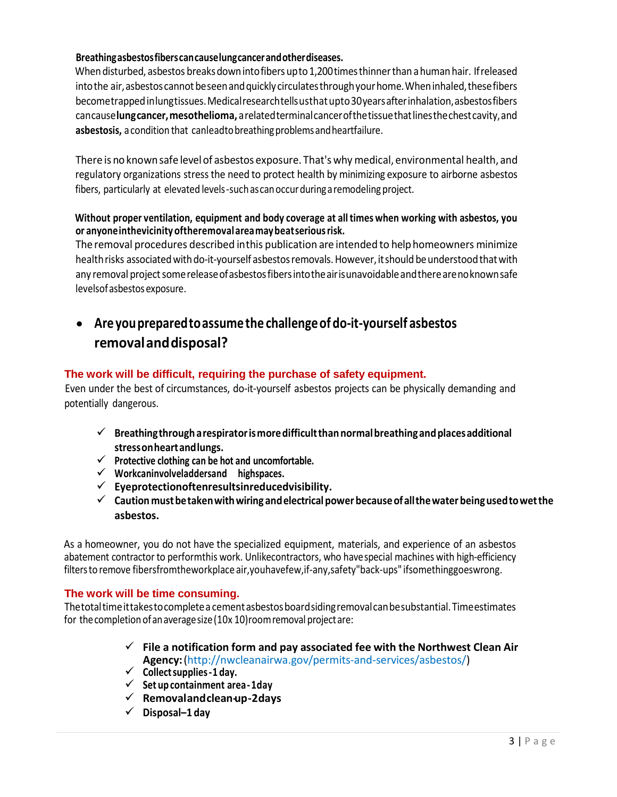#### **Breathingasbestosfiberscancauselungcancerandotherdiseases.**

When disturbed, asbestos breaks down into fibers up to 1,200 times thinner than a human hair. If released into the air, asbestos cannot be seen and quickly circulates through your home. When inhaled, these fibers becometrappedinlungtissues.Medicalresearchtellsusthatupto30yearsafterinhalation,asbestosfibers cancause**lungcancer,mesothelioma,** arelatedterminalcancerofthetissuethatlinesthechestcavity,and asbestosis, a condition that canleadto breathing problems and heartfailure.

There is no known safe level of asbestos exposure. That's why medical, environmental health, and regulatory organizations stressthe need to protect health by minimizing exposure to airborne asbestos fibers, particularly at elevated levels-suchascanoccurduringaremodeling project.

#### **Without proper ventilation, equipment and body coverage at all times when working with asbestos, you or anyoneinthevicinity oftheremovalareamaybeatseriousrisk.**

Theremoval procedures described inthis publication are intended to helphomeowners minimize health risks associated with do-it-yourself asbestos removals. However, it should be understood that with any removal project some release of asbestos fibers into the air is unavoidable and there are no known safe levelsofasbestosexposure.

# • **Are youpreparedtoassumethe challengeof do-it-yourself asbestos removalanddisposal?**

#### **The work will be difficult, requiring the purchase of safety equipment.**

Even under the best of circumstances, do-it-yourself asbestos projects can be physically demanding and potentially dangerous.

- **Breathingthrougharespiratorismoredifficultthannormalbreathingandplacesadditional stressonheartandlungs.**
- **Protective clothing can be hot and uncomfortable.**
- **Workcaninvolveladdersand highspaces.**
- **Eyeprotectionoftenresultsinreducedvisibility.**
- **Caution mustbetakenwithwiring andelectricalpower becauseofallthewater beingusedtowetthe asbestos.**

As a homeowner, you do not have the specialized equipment, materials, and experience of an asbestos abatement contractor to performthis work. Unlikecontractors, who havespecial machines with high-efficiency filtersto remove fibersfromtheworkplace air,youhavefew,if-any,safety"back-ups" ifsomethinggoeswrong.

#### **The work will be time consuming.**

Thetotaltimeittakestocompletea cementasbestosboardsidingremovalcanbesubstantial.Timeestimates for the completion of an average size (10x 10) room removal project are:

- **File a notification form and pay associated fee with the Northwest Clean Air Agency:**[\(http://nwcleanairwa.gov/permits-and-services/asbestos/\)](http://nwcleanairwa.gov/permits-and-services/asbestos/))
- **Collectsupplies-1 day.**
- **Set up containment area-1day**
- **Removalandclean-up-2days**
- **Disposal–1 day**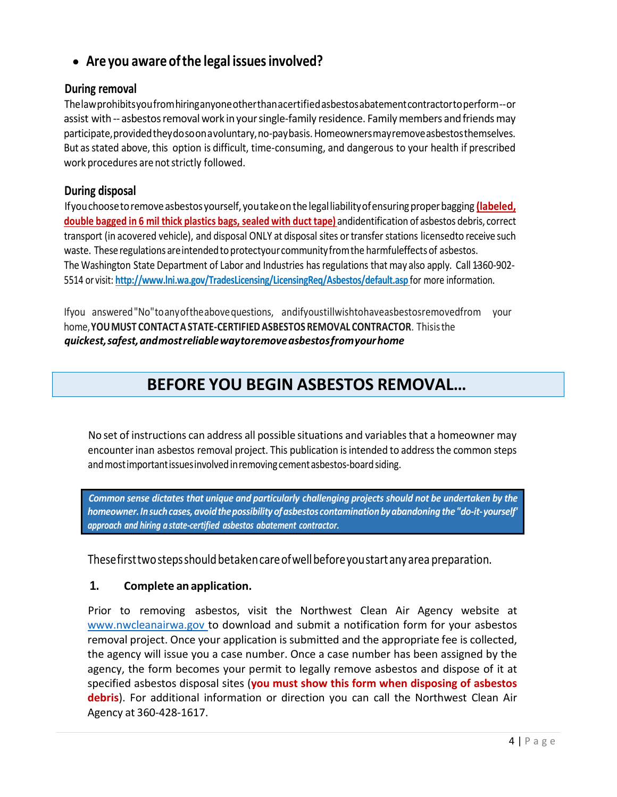## • **Are you aware ofthe legal issuesinvolved?**

#### **During removal**

Thelawprohibitsyoufromhiringanyoneotherthanacertifiedasbestosabatementcontractortoperform--or assist with -- asbestos removal work in your single-family residence. Family members and friends may participate,providedtheydosoonavoluntary,no-paybasis.Homeownersmayremoveasbestosthemselves. But asstated above, this option is difficult, time-consuming, and dangerous to your health if prescribed work procedures are not strictly followed.

#### **During disposal**

Ifyouchoosetoremoveasbestosyourself, youtakeon the legalliabilityofensuringproperbagging **(labeled, double bagged in 6 mil thick plastics bags, sealed with duct tape)** andidentification of asbestos debris, correct transport (in acovered vehicle), and disposal ONLY at disposal sites ortransfer stations licensedto receive such waste. These regulations are intended to protectyour community from the harmfuleffects of asbestos. The Washington State Department of Labor and Industries has regulations that may also apply. Call 1360-902-5514 or visit: **<http://www.lni.wa.gov/TradesLicensing/LicensingReq/Asbestos/default.asp>** for more information.

Ifyou answered"No"toanyoftheabovequestions, andifyoustillwishtohaveasbestosremovedfrom your home,**YOUMUST CONTACTASTATE-CERTIFIEDASBESTOS REMOVAL CONTRACTOR**. Thisisthe *quickest,safest,andmostreliablewaytoremoveasbestosfromyourhome*

# **BEFORE YOU BEGIN ASBESTOS REMOVAL…**

No set of instructions can address all possible situations and variablesthat a homeowner may encounterinan asbestos removal project. This publication isintended to addressthe common steps and most important issues involved in removing cement asbestos-board siding.

*Common sense dictates that unique and particularly challenging projects should not be undertaken by the homeowner.Insuchcases,avoidthepossibilityofasbestos contaminationbyabandoning the"do-it-yourself' approach and hiring a state-certified asbestos abatement contractor.*

Thesefirsttwostepsshouldbetakencareofwellbeforeyoustartanyarea preparation.

#### **1. Complete an application.**

Prior to removing asbestos, visit the Northwest Clean Air Agency website at [www.nwcleanairwa.gov](http://www.nwcleanairwa.gov/) to download and submit a notification form for your asbestos removal project. Once your application is submitted and the appropriate fee is collected, the agency will issue you a case number. Once a case number has been assigned by the agency, the form becomes your permit to legally remove asbestos and dispose of it at specified asbestos disposal sites (**you must show this form when disposing of asbestos debris**). For additional information or direction you can call the Northwest Clean Air Agency at 360-428-1617.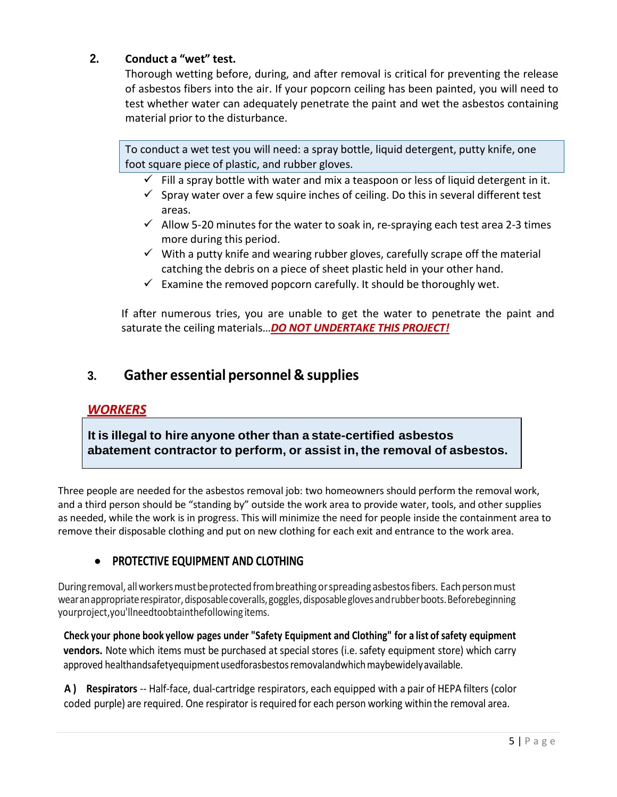#### **2. Conduct a "wet" test.**

Thorough wetting before, during, and after removal is critical for preventing the release of asbestos fibers into the air. If your popcorn ceiling has been painted, you will need to test whether water can adequately penetrate the paint and wet the asbestos containing material prior to the disturbance.

To conduct a wet test you will need: a spray bottle, liquid detergent, putty knife, one foot square piece of plastic, and rubber gloves.

- $\checkmark$  Fill a spray bottle with water and mix a teaspoon or less of liquid detergent in it.
- $\checkmark$  Spray water over a few squire inches of ceiling. Do this in several different test areas.
- $\checkmark$  Allow 5-20 minutes for the water to soak in, re-spraying each test area 2-3 times more during this period.
- $\checkmark$  With a putty knife and wearing rubber gloves, carefully scrape off the material catching the debris on a piece of sheet plastic held in your other hand.
- $\checkmark$  Examine the removed popcorn carefully. It should be thoroughly wet.

If after numerous tries, you are unable to get the water to penetrate the paint and saturate the ceiling materials…*DO NOT UNDERTAKE THIS PROJECT!*

### **3. Gather essential personnel & supplies**

#### *WORKERS*

**It is illegal to hire anyone other than a state-certified asbestos abatement contractor to perform, or assist in, the removal of asbestos.**

Three people are needed for the asbestos removal job: two homeowners should perform the removal work, and a third person should be "standing by" outside the work area to provide water, tools, and other supplies as needed, while the work is in progress. This will minimize the need for people inside the containment area to remove their disposable clothing and put on new clothing for each exit and entrance to the work area.

#### • **PROTECTIVE EQUIPMENT AND CLOTHING**

During removal, all workers must be protected from breathing or spreading asbestos fibers. Each person must wearanappropriaterespirator,disposablecoveralls,goggles,disposableglovesandrubberboots.Beforebeginning yourproject,you'llneedtoobtainthefollowing items.

**Check your phone book yellow pages under "Safety Equipment and Clothing" for a list of safety equipment vendors.** Note which items must be purchased at special stores (i.e.safety equipment store) which carry approved healthandsafetyequipment usedforasbestos removalandwhich maybewidely available.

**A ) Respirators** -- Half-face, dual-cartridge respirators, each equipped with a pair of HEPA filters (color coded purple) are required. One respirator is required for each person working within the removal area.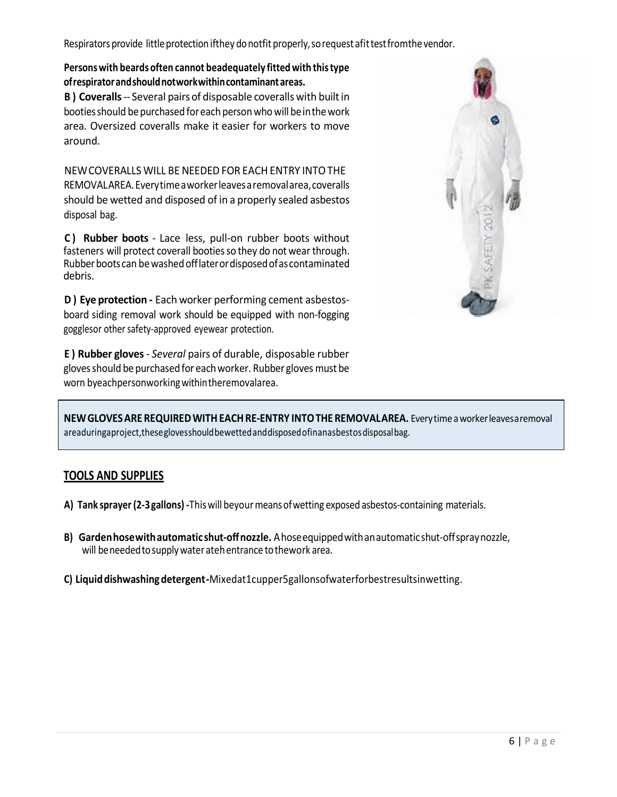Respirators provide little protection ifthey do notfit properly, so request afit test fromthe vendor.

#### **Personswith beards often cannot beadequately fitted with thistype ofrespiratorandshouldnotworkwithincontaminantareas.**

**B**) Coveralls -- Several pairs of disposable coveralls with built in booties should be purchased for each person who will be in the work area. Oversized coveralls make it easier for workers to move around.

NEWCOVERALLS WILL BE NEEDED FOR EACHENTRY INTOTHE REMOVALAREA.Everytimeaworkerleavesaremovalarea,coveralls should be wetted and disposed of in a properly sealed asbestos disposal bag.

**C ) Rubber boots** - Lace less, pull-on rubber boots without fasteners will protect coverall booties so they do not wear through. Rubber boots can be washed offlater or disposed of as contaminated debris.

**D ) Eye protection -** Each worker performing cement asbestosboard siding removal work should be equipped with non-fogging gogglesor other safety-approved eyewear protection.

**E ) Rubber gloves**- *Several* pairs of durable, disposable rubber glovesshould be purchasedfor eachworker. Rubber gloves must be worn byeachpersonworking within theremovalarea.



**NEWGLOVESARE REQUIREDWITHEACHRE-ENTRY INTOTHE REMOVALAREA.** Everytime aworkerleavesaremoval areaduringaproject, these gloves should bewetted and disposed of inanasbestos disposal bag.

#### **TOOLS AND SUPPLIES**

- **A) Tank sprayer (2-3gallons) -**Thiswill beyourmeansofwetting exposed asbestos-containing materials.
- **B) Gardenhosewithautomatic shut-offnozzle.** Ahoseequippedwithanautomaticshut-offspraynozzle, will beneededtosupplywater atehentrance tothework area.
- **C) Liquiddishwashingdetergent-**Mixedat1cupper5gallonsofwaterforbestresultsinwetting.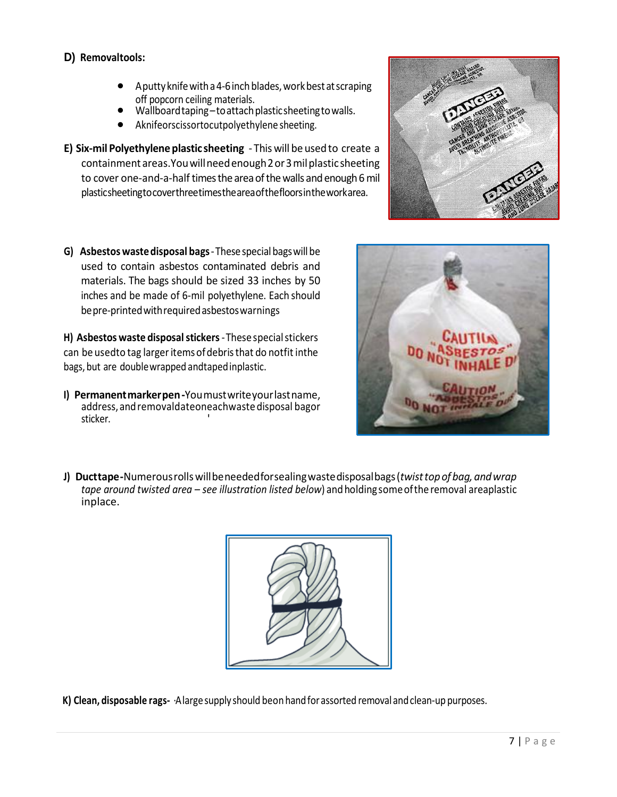#### **D) Removaltools:**

- $\bullet$  Aputty knife with a 4-6 inch blades, work best at scraping off popcorn ceiling materials.
- Wallboardtaping–toattachplasticsheetingtowalls.
- Aknifeorscissortocutpolyethylene sheeting.
- **E) Six-mil Polyethylene plastic sheeting** This will be usedto create a containmentareas.Youwillneedenough2or3milplasticsheeting to cover one-and-a-half times the area of the walls and enough 6 mil plasticsheetingtocoverthreetimestheareaofthefloorsintheworkarea.
- **G) Asbestoswastedisposal bags**-Thesespecialbagswillbe used to contain asbestos contaminated debris and materials. The bags should be sized 33 inches by 50 inches and be made of 6-mil polyethylene. Each should bepre-printedwithrequiredasbestoswarnings

**H) Asbestos waste disposalstickers**-Thesespecialstickers can be usedto tag largeritemsofdebristhat do notfit inthe bags,but are doublewrapped andtapedinplastic.

**I) Permanentmarkerpen-**Youmustwriteyourlastname, address,andremovaldateoneachwastedisposal bagor sticker.





**J) Ducttape-**Numerousrollswillbeneededforsealingwastedisposalbags(*twisttopof bag, andwrap tape around twisted area – see illustration listed below*) andholdingsomeofthe removal areaplastic inplace.



**K) Clean, disposable rags-** ·Alargesupply should beonhandforassorted removal andclean-up purposes.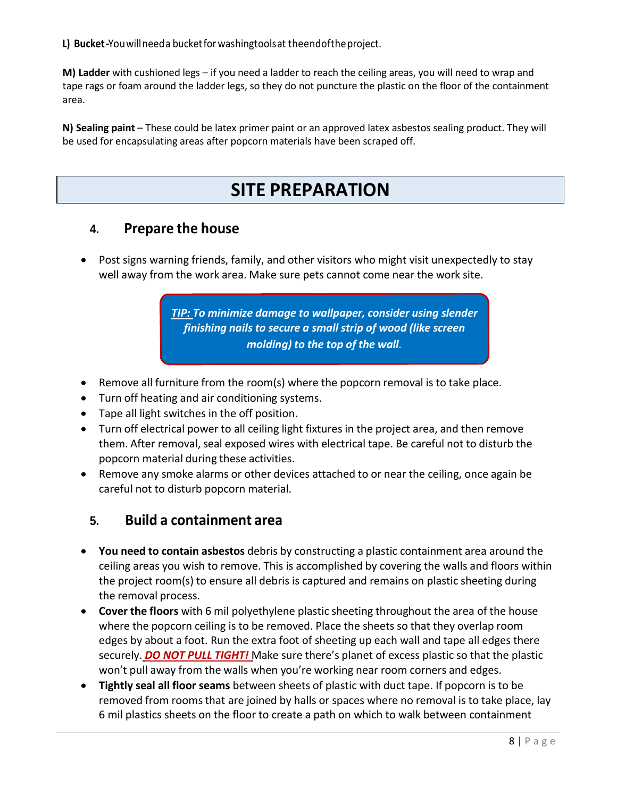**L) Bucket-**Youwillneeda bucketforwashingtoolsat theendoftheproject.

**M) Ladder** with cushioned legs – if you need a ladder to reach the ceiling areas, you will need to wrap and tape rags or foam around the ladder legs, so they do not puncture the plastic on the floor of the containment area.

**N) Sealing paint** – These could be latex primer paint or an approved latex asbestos sealing product. They will be used for encapsulating areas after popcorn materials have been scraped off.

# **SITE PREPARATION**

### **4. Prepare the house**

• Post signs warning friends, family, and other visitors who might visit unexpectedly to stay well away from the work area. Make sure pets cannot come near the work site.

> *TIP: To minimize damage to wallpaper, consider using slender finishing nails to secure a small strip of wood (like screen molding) to the top of the wall.*

- Remove all furniture from the room(s) where the popcorn removal is to take place.
- Turn off heating and air conditioning systems.
- Tape all light switches in the off position.
- Turn off electrical power to all ceiling light fixtures in the project area, and then remove them. After removal, seal exposed wires with electrical tape. Be careful not to disturb the popcorn material during these activities.
- Remove any smoke alarms or other devices attached to or near the ceiling, once again be careful not to disturb popcorn material.

## **5. Build a containment area**

- **You need to contain asbestos** debris by constructing a plastic containment area around the ceiling areas you wish to remove. This is accomplished by covering the walls and floors within the project room(s) to ensure all debris is captured and remains on plastic sheeting during the removal process.
- **Cover the floors** with 6 mil polyethylene plastic sheeting throughout the area of the house where the popcorn ceiling is to be removed. Place the sheets so that they overlap room edges by about a foot. Run the extra foot of sheeting up each wall and tape all edges there securely. *DO NOT PULL TIGHT!* Make sure there's planet of excess plastic so that the plastic won't pull away from the walls when you're working near room corners and edges.
- **Tightly seal all floor seams** between sheets of plastic with duct tape. If popcorn is to be removed from rooms that are joined by halls or spaces where no removal is to take place, lay 6 mil plastics sheets on the floor to create a path on which to walk between containment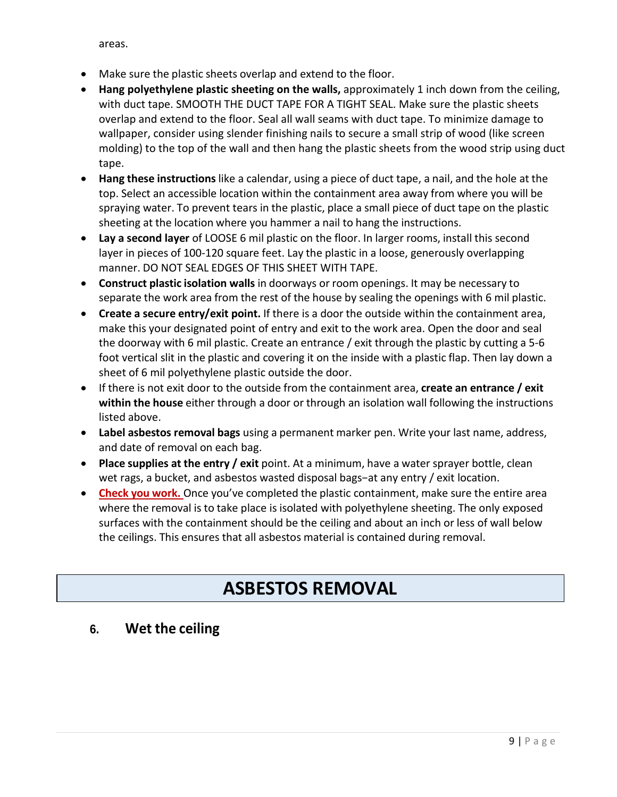areas.

- Make sure the plastic sheets overlap and extend to the floor.
- **Hang polyethylene plastic sheeting on the walls,** approximately 1 inch down from the ceiling, with duct tape. SMOOTH THE DUCT TAPE FOR A TIGHT SEAL. Make sure the plastic sheets overlap and extend to the floor. Seal all wall seams with duct tape. To minimize damage to wallpaper, consider using slender finishing nails to secure a small strip of wood (like screen molding) to the top of the wall and then hang the plastic sheets from the wood strip using duct tape.
- **Hang these instructions** like a calendar, using a piece of duct tape, a nail, and the hole at the top. Select an accessible location within the containment area away from where you will be spraying water. To prevent tears in the plastic, place a small piece of duct tape on the plastic sheeting at the location where you hammer a nail to hang the instructions.
- **Lay a second layer** of LOOSE 6 mil plastic on the floor. In larger rooms, install this second layer in pieces of 100-120 square feet. Lay the plastic in a loose, generously overlapping manner. DO NOT SEAL EDGES OF THIS SHEET WITH TAPE.
- **Construct plastic isolation walls** in doorways or room openings. It may be necessary to separate the work area from the rest of the house by sealing the openings with 6 mil plastic.
- **Create a secure entry/exit point.** If there is a door the outside within the containment area, make this your designated point of entry and exit to the work area. Open the door and seal the doorway with 6 mil plastic. Create an entrance / exit through the plastic by cutting a 5-6 foot vertical slit in the plastic and covering it on the inside with a plastic flap. Then lay down a sheet of 6 mil polyethylene plastic outside the door.
- If there is not exit door to the outside from the containment area, **create an entrance / exit within the house** either through a door or through an isolation wall following the instructions listed above.
- **Label asbestos removal bags** using a permanent marker pen. Write your last name, address, and date of removal on each bag.
- **Place supplies at the entry / exit** point. At a minimum, have a water sprayer bottle, clean wet rags, a bucket, and asbestos wasted disposal bags−at any entry / exit location.
- **Check you work.** Once you've completed the plastic containment, make sure the entire area where the removal is to take place is isolated with polyethylene sheeting. The only exposed surfaces with the containment should be the ceiling and about an inch or less of wall below the ceilings. This ensures that all asbestos material is contained during removal.

# **ASBESTOS REMOVAL**

## **6. Wet the ceiling**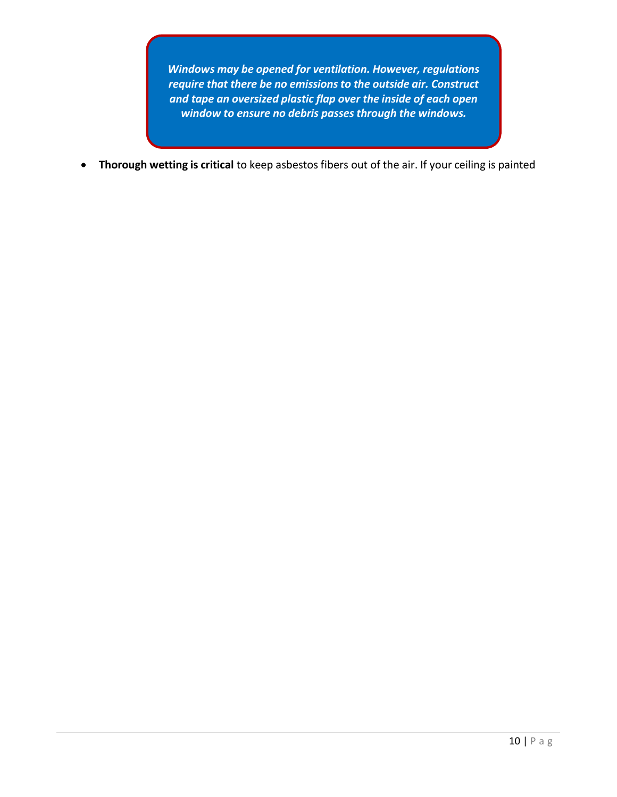*Windows may be opened for ventilation. However, regulations require that there be no emissions to the outside air. Construct and tape an oversized plastic flap over the inside of each open window to ensure no debris passes through the windows.*

• **Thorough wetting is critical** to keep asbestos fibers out of the air. If your ceiling is painted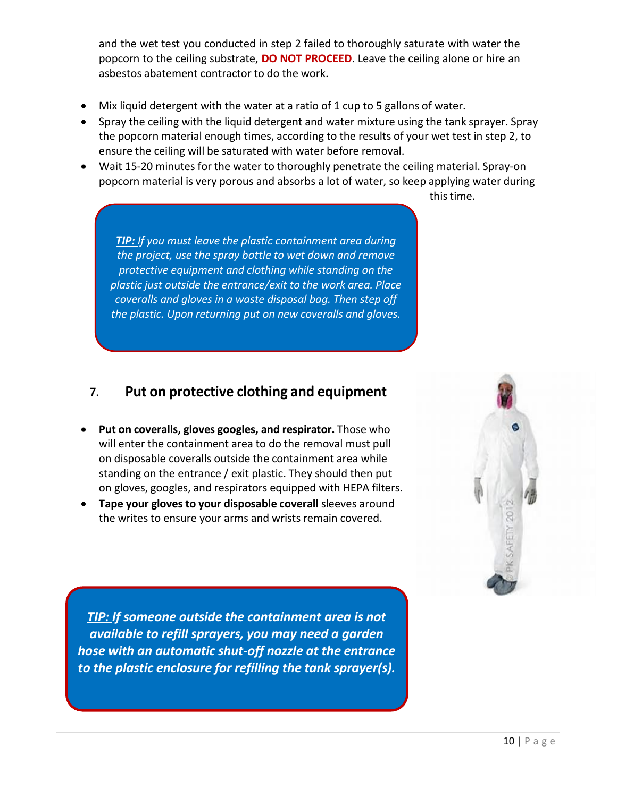and the wet test you conducted in step 2 failed to thoroughly saturate with water the popcorn to the ceiling substrate, **DO NOT PROCEED**. Leave the ceiling alone or hire an asbestos abatement contractor to do the work.

- Mix liquid detergent with the water at a ratio of 1 cup to 5 gallons of water.
- Spray the ceiling with the liquid detergent and water mixture using the tank sprayer. Spray the popcorn material enough times, according to the results of your wet test in step 2, to ensure the ceiling will be saturated with water before removal.
- Wait 15-20 minutes for the water to thoroughly penetrate the ceiling material. Spray-on popcorn material is very porous and absorbs a lot of water, so keep applying water during

this time.

*TIP: If you must leave the plastic containment area during the project, use the spray bottle to wet down and remove protective equipment and clothing while standing on the plastic just outside the entrance/exit to the work area. Place coveralls and gloves in a waste disposal bag. Then step off the plastic. Upon returning put on new coveralls and gloves.*

## **7. Put on protective clothing and equipment**

- **Put on coveralls, gloves googles, and respirator.** Those who will enter the containment area to do the removal must pull on disposable coveralls outside the containment area while standing on the entrance / exit plastic. They should then put on gloves, googles, and respirators equipped with HEPA filters.
- **Tape your gloves to your disposable coverall** sleeves around the writes to ensure your arms and wrists remain covered.



*TIP: If someone outside the containment area is not available to refill sprayers, you may need a garden hose with an automatic shut-off nozzle at the entrance to the plastic enclosure for refilling the tank sprayer(s).*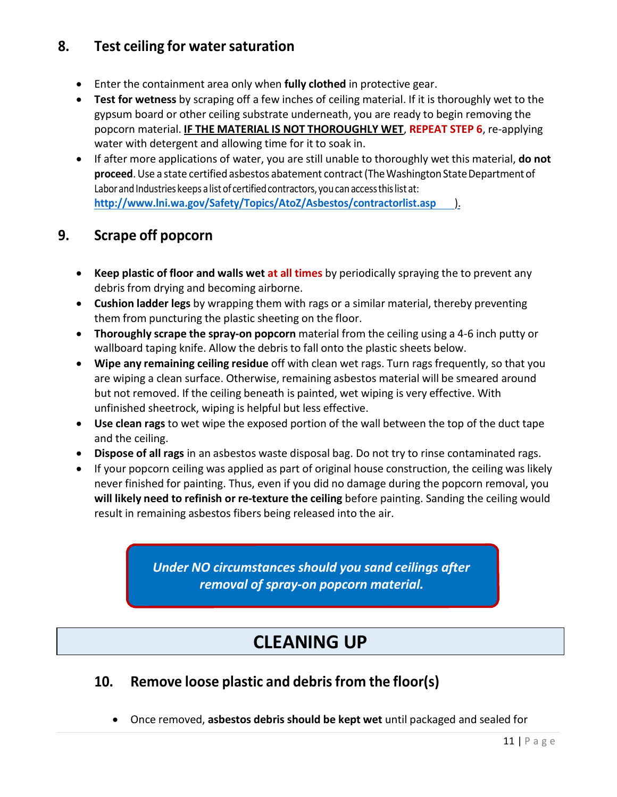# **8. Test ceiling for watersaturation**

- Enter the containment area only when **fully clothed** in protective gear.
- **Test for wetness** by scraping off a few inches of ceiling material. If it is thoroughly wet to the gypsum board or other ceiling substrate underneath, you are ready to begin removing the popcorn material. **IF THE MATERIAL IS NOT THOROUGHLY WET**, **REPEAT STEP 6**, re-applying water with detergent and allowing time for it to soak in.
- If after more applications of water, you are still unable to thoroughly wet this material, **do not proceed**. Use a state certified asbestos abatement contract (The Washington State Department of Labor and Industries keeps a list of certified contractors, you can access this list at: **<http://www.lni.wa.gov/Safety/Topics/AtoZ/Asbestos/contractorlist.asp>**).

# **9. Scrape off popcorn**

- **Keep plastic of floor and walls wet at all times** by periodically spraying the to prevent any debris from drying and becoming airborne.
- **Cushion ladder legs** by wrapping them with rags or a similar material, thereby preventing them from puncturing the plastic sheeting on the floor.
- **Thoroughly scrape the spray-on popcorn** material from the ceiling using a 4-6 inch putty or wallboard taping knife. Allow the debris to fall onto the plastic sheets below.
- **Wipe any remaining ceiling residue** off with clean wet rags. Turn rags frequently, so that you are wiping a clean surface. Otherwise, remaining asbestos material will be smeared around but not removed. If the ceiling beneath is painted, wet wiping is very effective. With unfinished sheetrock, wiping is helpful but less effective.
- **Use clean rags** to wet wipe the exposed portion of the wall between the top of the duct tape and the ceiling.
- **Dispose of all rags** in an asbestos waste disposal bag. Do not try to rinse contaminated rags.
- If your popcorn ceiling was applied as part of original house construction, the ceiling was likely never finished for painting. Thus, even if you did no damage during the popcorn removal, you **will likely need to refinish or re-texture the ceiling** before painting. Sanding the ceiling would result in remaining asbestos fibers being released into the air.

*Under NO circumstances should you sand ceilings after removal of spray-on popcorn material.*

# **CLEANING UP**

# **10. Remove loose plastic and debrisfrom the floor(s)**

• Once removed, **asbestos debris should be kept wet** until packaged and sealed for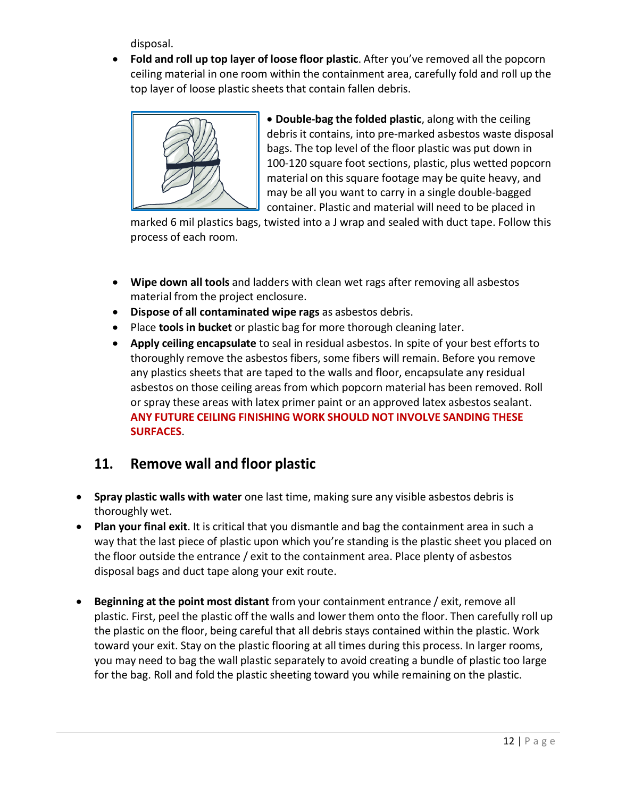disposal.

• **Fold and roll up top layer of loose floor plastic**. After you've removed all the popcorn ceiling material in one room within the containment area, carefully fold and roll up the top layer of loose plastic sheets that contain fallen debris.



• **Double-bag the folded plastic**, along with the ceiling debris it contains, into pre-marked asbestos waste disposal bags. The top level of the floor plastic was put down in 100-120 square foot sections, plastic, plus wetted popcorn material on this square footage may be quite heavy, and may be all you want to carry in a single double-bagged container. Plastic and material will need to be placed in

marked 6 mil plastics bags, twisted into a J wrap and sealed with duct tape. Follow this process of each room.

- **Wipe down all tools** and ladders with clean wet rags after removing all asbestos material from the project enclosure.
- **Dispose of all contaminated wipe rags** as asbestos debris.
- Place **tools in bucket** or plastic bag for more thorough cleaning later.
- **Apply ceiling encapsulate** to seal in residual asbestos. In spite of your best efforts to thoroughly remove the asbestos fibers, some fibers will remain. Before you remove any plastics sheets that are taped to the walls and floor, encapsulate any residual asbestos on those ceiling areas from which popcorn material has been removed. Roll or spray these areas with latex primer paint or an approved latex asbestos sealant. **ANY FUTURE CEILING FINISHING WORK SHOULD NOT INVOLVE SANDING THESE SURFACES**.

## **11. Remove wall and floor plastic**

- **Spray plastic walls with water** one last time, making sure any visible asbestos debris is thoroughly wet.
- **Plan your final exit**. It is critical that you dismantle and bag the containment area in such a way that the last piece of plastic upon which you're standing is the plastic sheet you placed on the floor outside the entrance / exit to the containment area. Place plenty of asbestos disposal bags and duct tape along your exit route.
- **Beginning at the point most distant** from your containment entrance / exit, remove all plastic. First, peel the plastic off the walls and lower them onto the floor. Then carefully roll up the plastic on the floor, being careful that all debris stays contained within the plastic. Work toward your exit. Stay on the plastic flooring at all times during this process. In larger rooms, you may need to bag the wall plastic separately to avoid creating a bundle of plastic too large for the bag. Roll and fold the plastic sheeting toward you while remaining on the plastic.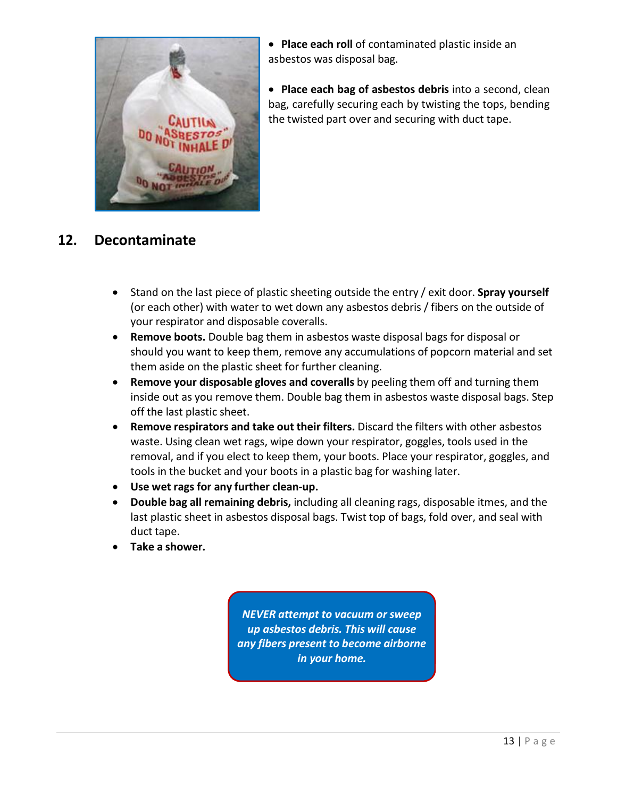

• **Place each roll** of contaminated plastic inside an asbestos was disposal bag.

• **Place each bag of asbestos debris** into a second, clean bag, carefully securing each by twisting the tops, bending the twisted part over and securing with duct tape.

# **12. Decontaminate**

- Stand on the last piece of plastic sheeting outside the entry / exit door. **Spray yourself** (or each other) with water to wet down any asbestos debris / fibers on the outside of your respirator and disposable coveralls.
- **Remove boots.** Double bag them in asbestos waste disposal bags for disposal or should you want to keep them, remove any accumulations of popcorn material and set them aside on the plastic sheet for further cleaning.
- **Remove your disposable gloves and coveralls** by peeling them off and turning them inside out as you remove them. Double bag them in asbestos waste disposal bags. Step off the last plastic sheet.
- **Remove respirators and take out their filters.** Discard the filters with other asbestos waste. Using clean wet rags, wipe down your respirator, goggles, tools used in the removal, and if you elect to keep them, your boots. Place your respirator, goggles, and tools in the bucket and your boots in a plastic bag for washing later.
- **Use wet rags for any further clean-up.**
- **Double bag all remaining debris,** including all cleaning rags, disposable itmes, and the last plastic sheet in asbestos disposal bags. Twist top of bags, fold over, and seal with duct tape.
- **Take a shower.**

*NEVER attempt to vacuum or sweep up asbestos debris. This will cause any fibers present to become airborne in your home.*